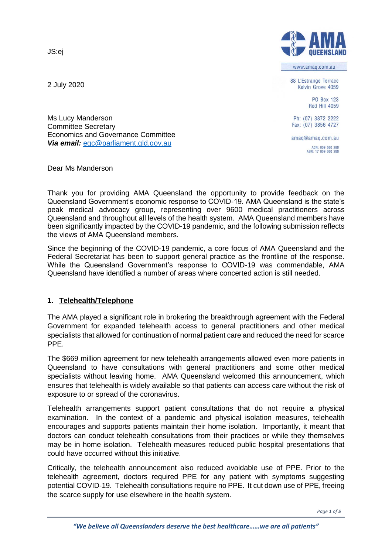JS:ej

2 July 2020



www.amag.com.au

88 L'Estrange Terrace Kelvin Grove 4059

> **PO Box 123** Red Hill 4059

Ph: (07) 3872 2222 Fax: (07) 3856 4727

amaq@amaq.com.au ACN: 009 660 280<br>ABN: 17 009 660 280

Ms Lucy Manderson Committee Secretary Economics and Governance Committee *Via email:* [egc@parliament.qld.gov.au](mailto:egc@parliament.qld.gov.au)

Dear Ms Manderson

Thank you for providing AMA Queensland the opportunity to provide feedback on the Queensland Government's economic response to COVID-19. AMA Queensland is the state's peak medical advocacy group, representing over 9600 medical practitioners across Queensland and throughout all levels of the health system. AMA Queensland members have been significantly impacted by the COVID-19 pandemic, and the following submission reflects the views of AMA Queensland members.

Since the beginning of the COVID-19 pandemic, a core focus of AMA Queensland and the Federal Secretariat has been to support general practice as the frontline of the response. While the Queensland Government's response to COVID-19 was commendable, AMA Queensland have identified a number of areas where concerted action is still needed.

## **1. Telehealth/Telephone**

The AMA played a significant role in brokering the breakthrough agreement with the Federal Government for expanded telehealth access to general practitioners and other medical specialists that allowed for continuation of normal patient care and reduced the need for scarce PPE.

The \$669 million agreement for new telehealth arrangements allowed even more patients in Queensland to have consultations with general practitioners and some other medical specialists without leaving home. AMA Queensland welcomed this announcement, which ensures that telehealth is widely available so that patients can access care without the risk of exposure to or spread of the coronavirus.

Telehealth arrangements support patient consultations that do not require a physical examination. In the context of a pandemic and physical isolation measures, telehealth encourages and supports patients maintain their home isolation. Importantly, it meant that doctors can conduct telehealth consultations from their practices or while they themselves may be in home isolation. Telehealth measures reduced public hospital presentations that could have occurred without this initiative.

Critically, the telehealth announcement also reduced avoidable use of PPE. Prior to the telehealth agreement, doctors required PPE for any patient with symptoms suggesting potential COVID-19. Telehealth consultations require no PPE. It cut down use of PPE, freeing the scarce supply for use elsewhere in the health system.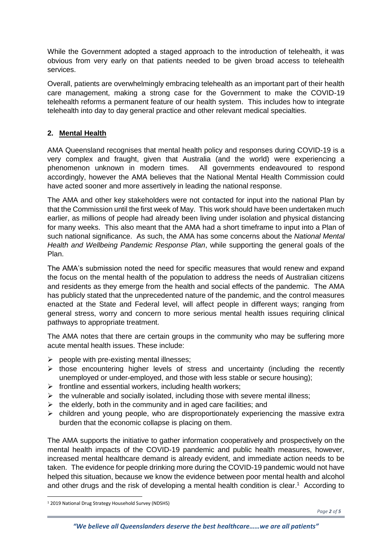While the Government adopted a staged approach to the introduction of telehealth, it was obvious from very early on that patients needed to be given broad access to telehealth services.

Overall, patients are overwhelmingly embracing telehealth as an important part of their health care management, making a strong case for the Government to make the COVID-19 telehealth reforms a permanent feature of our health system. This includes how to integrate telehealth into day to day general practice and other relevant medical specialties.

## **2. Mental Health**

AMA Queensland recognises that mental health policy and responses during COVID-19 is a very complex and fraught, given that Australia (and the world) were experiencing a phenomenon unknown in modern times. All governments endeavoured to respond accordingly, however the AMA believes that the National Mental Health Commission could have acted sooner and more assertively in leading the national response.

The AMA and other key stakeholders were not contacted for input into the national Plan by that the Commission until the first week of May. This work should have been undertaken much earlier, as millions of people had already been living under isolation and physical distancing for many weeks. This also meant that the AMA had a short timeframe to input into a Plan of such national significance. As such, the AMA has some concerns about the *National Mental Health and Wellbeing Pandemic Response Plan*, while supporting the general goals of the Plan.

The AMA's submission noted the need for specific measures that would renew and expand the focus on the mental health of the population to address the needs of Australian citizens and residents as they emerge from the health and social effects of the pandemic. The AMA has publicly stated that the unprecedented nature of the pandemic, and the control measures enacted at the State and Federal level, will affect people in different ways; ranging from general stress, worry and concern to more serious mental health issues requiring clinical pathways to appropriate treatment.

The AMA notes that there are certain groups in the community who may be suffering more acute mental health issues. These include:

- $\triangleright$  people with pre-existing mental illnesses;
- $\triangleright$  those encountering higher levels of stress and uncertainty (including the recently unemployed or under-employed, and those with less stable or secure housing);
- $\triangleright$  frontline and essential workers, including health workers;
- $\triangleright$  the vulnerable and socially isolated, including those with severe mental illness;
- $\triangleright$  the elderly, both in the community and in aged care facilities; and
- $\triangleright$  children and young people, who are disproportionately experiencing the massive extra burden that the economic collapse is placing on them.

The AMA supports the initiative to gather information cooperatively and prospectively on the mental health impacts of the COVID-19 pandemic and public health measures, however, increased mental healthcare demand is already evident, and immediate action needs to be taken. The evidence for people drinking more during the COVID-19 pandemic would not have helped this situation, because we know the evidence between poor mental health and alcohol and other drugs and the risk of developing a mental health condition is clear. <sup>1</sup> According to

 $\overline{a}$ 

<sup>1</sup> 2019 National Drug Strategy Household Survey (NDSHS)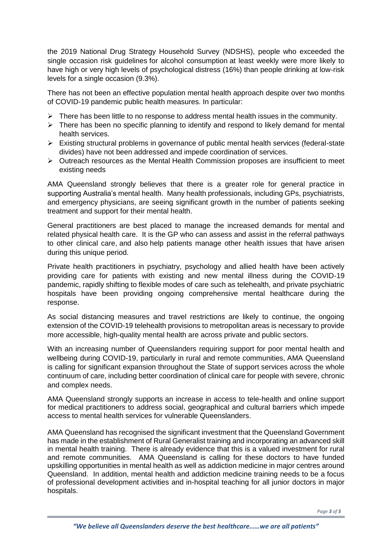the 2019 National Drug Strategy Household Survey (NDSHS), people who exceeded the single occasion risk guidelines for alcohol consumption at least weekly were more likely to have high or very high levels of psychological distress (16%) than people drinking at low-risk levels for a single occasion (9.3%).

There has not been an effective population mental health approach despite over two months of COVID-19 pandemic public health measures. In particular:

- $\triangleright$  There has been little to no response to address mental health issues in the community.
- $\triangleright$  There has been no specific planning to identify and respond to likely demand for mental health services.
- $\triangleright$  Existing structural problems in governance of public mental health services (federal-state divides) have not been addressed and impede coordination of services.
- $\triangleright$  Outreach resources as the Mental Health Commission proposes are insufficient to meet existing needs

AMA Queensland strongly believes that there is a greater role for general practice in supporting Australia's mental health. Many health professionals, including GPs, psychiatrists, and emergency physicians, are seeing significant growth in the number of patients seeking treatment and support for their mental health.

General practitioners are best placed to manage the increased demands for mental and related physical health care. It is the GP who can assess and assist in the referral pathways to other clinical care, and also help patients manage other health issues that have arisen during this unique period.

Private health practitioners in psychiatry, psychology and allied health have been actively providing care for patients with existing and new mental illness during the COVID-19 pandemic, rapidly shifting to flexible modes of care such as telehealth, and private psychiatric hospitals have been providing ongoing comprehensive mental healthcare during the response.

As social distancing measures and travel restrictions are likely to continue, the ongoing extension of the COVID-19 telehealth provisions to metropolitan areas is necessary to provide more accessible, high-quality mental health are across private and public sectors.

With an increasing number of Queenslanders requiring support for poor mental health and wellbeing during COVID-19, particularly in rural and remote communities, AMA Queensland is calling for significant expansion throughout the State of support services across the whole continuum of care, including better coordination of clinical care for people with severe, chronic and complex needs.

AMA Queensland strongly supports an increase in access to tele-health and online support for medical practitioners to address social, geographical and cultural barriers which impede access to mental health services for vulnerable Queenslanders.

AMA Queensland has recognised the significant investment that the Queensland Government has made in the establishment of Rural Generalist training and incorporating an advanced skill in mental health training. There is already evidence that this is a valued investment for rural and remote communities. AMA Queensland is calling for these doctors to have funded upskilling opportunities in mental health as well as addiction medicine in major centres around Queensland. In addition, mental health and addiction medicine training needs to be a focus of professional development activities and in-hospital teaching for all junior doctors in major hospitals.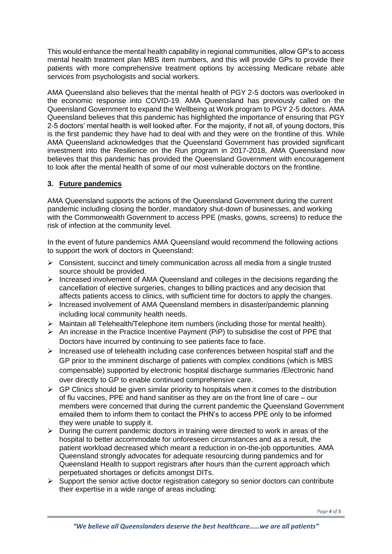This would enhance the mental health capability in regional communities, allow GP's to access mental health treatment plan MBS item numbers, and this will provide GPs to provide their patients with more comprehensive treatment options by accessing Medicare rebate able services from psychologists and social workers.

AMA Queensland also believes that the mental health of PGY 2-5 doctors was overlooked in the economic response into COVID-19. AMA Queensland has previously called on the Queensland Government to expand the Wellbeing at Work program to PGY 2-5 doctors. AMA Queensland believes that this pandemic has highlighted the importance of ensuring that PGY 2-5 doctors' mental health is well looked after. For the majority, if not all, of young doctors, this is the first pandemic they have had to deal with and they were on the frontline of this. While AMA Queensland acknowledges that the Queensland Government has provided significant investment into the Resilience on the Run program in 2017-2018, AMA Queensland now believes that this pandemic has provided the Queensland Government with encouragement to look after the mental health of some of our most vulnerable doctors on the frontline.

## **3. Future pandemics**

AMA Queensland supports the actions of the Queensland Government during the current pandemic including closing the border, mandatory shut-down of businesses, and working with the Commonwealth Government to access PPE (masks, gowns, screens) to reduce the risk of infection at the community level.

In the event of future pandemics AMA Queensland would recommend the following actions to support the work of doctors in Queensland:

- $\triangleright$  Consistent, succinct and timely communication across all media from a single trusted source should be provided.
- $\triangleright$  Increased involvement of AMA Queensland and colleges in the decisions regarding the cancellation of elective surgeries, changes to billing practices and any decision that affects patients access to clinics, with sufficient time for doctors to apply the changes.
- Increased involvement of AMA Queensland members in disaster/pandemic planning including local community health needs.
- $\triangleright$  Maintain all Telehealth/Telephone item numbers (including those for mental health).
- $\triangleright$  An increase in the Practice Incentive Payment (PiP) to subsidise the cost of PPE that Doctors have incurred by continuing to see patients face to face.
- $\triangleright$  Increased use of telehealth including case conferences between hospital staff and the GP prior to the imminent discharge of patients with complex conditions (which is MBS compensable) supported by electronic hospital discharge summaries /Electronic hand over directly to GP to enable continued comprehensive care.
- $\triangleright$  GP Clinics should be given similar priority to hospitals when it comes to the distribution of flu vaccines, PPE and hand sanitiser as they are on the front line of care – our members were concerned that during the current pandemic the Queensland Government emailed them to inform them to contact the PHN's to access PPE only to be informed they were unable to supply it.
- $\triangleright$  During the current pandemic doctors in training were directed to work in areas of the hospital to better accommodate for unforeseen circumstances and as a result, the patient workload decreased which meant a reduction in on-the-job opportunities. AMA Queensland strongly advocates for adequate resourcing during pandemics and for Queensland Health to support registrars after hours than the current approach which perpetuated shortages or deficits amongst DITs.
- $\triangleright$  Support the senior active doctor registration category so senior doctors can contribute their expertise in a wide range of areas including: